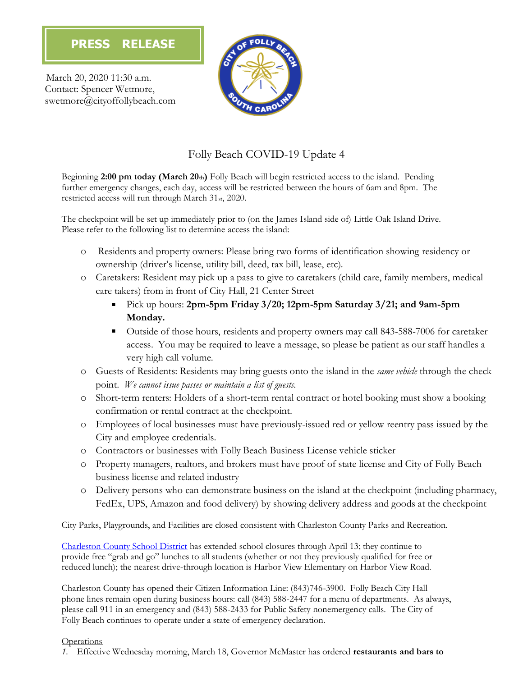March 20, 2020 11:30 a.m. Contact: Spencer Wetmore, swetmore@cityoffollybeach.com



# Folly Beach COVID-19 Update 4

Beginning **2:00 pm today (March 20th)** Folly Beach will begin restricted access to the island. Pending further emergency changes, each day, access will be restricted between the hours of 6am and 8pm. The restricted access will run through March 31st, 2020.

The checkpoint will be set up immediately prior to (on the James Island side of) Little Oak Island Drive. Please refer to the following list to determine access the island:

- o Residents and property owners: Please bring two forms of identification showing residency or ownership (driver's license, utility bill, deed, tax bill, lease, etc).
- o Caretakers: Resident may pick up a pass to give to caretakers (child care, family members, medical care takers) from in front of City Hall, 21 Center Street
	- Pick up hours: **2pm-5pm Friday 3/20; 12pm-5pm Saturday 3/21; and 9am-5pm Monday.**
	- Outside of those hours, residents and property owners may call 843-588-7006 for caretaker access. You may be required to leave a message, so please be patient as our staff handles a very high call volume.
- o Guests of Residents: Residents may bring guests onto the island in the *same vehicle* through the check point. *We cannot issue passes or maintain a list of guests.*
- o Short-term renters: Holders of a short-term rental contract or hotel booking must show a booking confirmation or rental contract at the checkpoint.
- o Employees of local businesses must have previously-issued red or yellow reentry pass issued by the City and employee credentials.
- o Contractors or businesses with Folly Beach Business License vehicle sticker
- o Property managers, realtors, and brokers must have proof of state license and City of Folly Beach business license and related industry
- o Delivery persons who can demonstrate business on the island at the checkpoint (including pharmacy, FedEx, UPS, Amazon and food delivery) by showing delivery address and goods at the checkpoint

City Parks, Playgrounds, and Facilities are closed consistent with Charleston County Parks and Recreation.

[Charleston County School District](https://www.ccsdschools.com/site/default.aspx?PageType=3&DomainID=4&ModuleInstanceID=488&ViewID=6446EE88-D30C-497E-9316-3F8874B3E108&RenderLoc=0&FlexDataID=17381&PageID=1) has extended school closures through April 13; they continue to provide free "grab and go" lunches to all students (whether or not they previously qualified for free or reduced lunch); the nearest drive-through location is Harbor View Elementary on Harbor View Road.

Charleston County has opened their Citizen Information Line: (843)746-3900. Folly Beach City Hall phone lines remain open during business hours: call (843) 588-2447 for a menu of departments. As always, please call 911 in an emergency and (843) 588-2433 for Public Safety nonemergency calls. The City of Folly Beach continues to operate under a state of emergency declaration.

### **Operations**

*1.* Effective Wednesday morning, March 18, Governor McMaster has ordered **restaurants and bars to**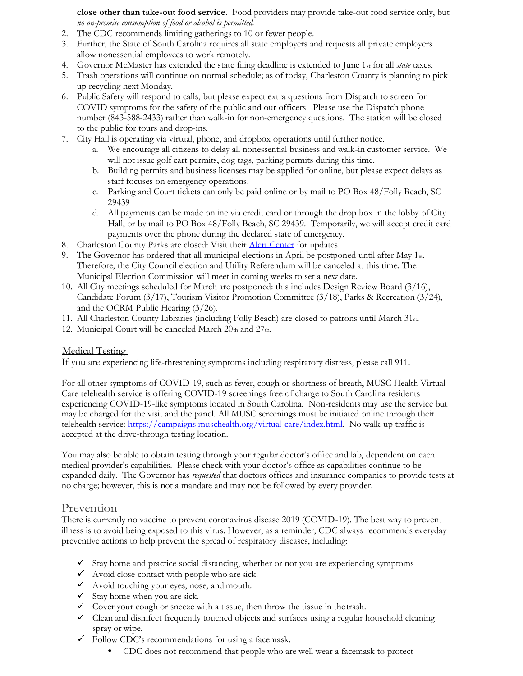**close other than take-out food service**. Food providers may provide take-out food service only, but *no on-premise consumption of food or alcohol is permitted.* 

- 2. The CDC recommends limiting gatherings to 10 or fewer people.
- 3. Further, the State of South Carolina requires all state employers and requests all private employers allow nonessential employees to work remotely.
- 4. Governor McMaster has extended the state filing deadline is extended to June 1st for all *state* taxes.
- 5. Trash operations will continue on normal schedule; as of today, Charleston County is planning to pick up recycling next Monday.
- 6. Public Safety will respond to calls, but please expect extra questions from Dispatch to screen for COVID symptoms for the safety of the public and our officers. Please use the Dispatch phone number (843-588-2433) rather than walk-in for non-emergency questions. The station will be closed to the public for tours and drop-ins.
- 7. City Hall is operating via virtual, phone, and dropbox operations until further notice.
	- a. We encourage all citizens to delay all nonessential business and walk-in customer service. We will not issue golf cart permits, dog tags, parking permits during this time.
	- b. Building permits and business licenses may be applied for online, but please expect delays as staff focuses on emergency operations.
	- c. Parking and Court tickets can only be paid online or by mail to PO Box 48/Folly Beach, SC 29439
	- d. All payments can be made online via credit card or through the drop box in the lobby of City Hall, or by mail to PO Box 48/Folly Beach, SC 29439. Temporarily, we will accept credit card payments over the phone during the declared state of emergency.
- 8. Charleston County Parks are closed: Visit their [Alert Center](https://www.ccprc.com/AlertCenter.aspx?AID=Charleston-County-Parks-Coronavirus-COVI-555) for updates.
- 9. The Governor has ordered that all municipal elections in April be postponed until after May 1st. Therefore, the City Council election and Utility Referendum will be canceled at this time. The Municipal Election Commission will meet in coming weeks to set a new date.
- 10. All City meetings scheduled for March are postponed: this includes Design Review Board (3/16), Candidate Forum (3/17), Tourism Visitor Promotion Committee (3/18), Parks & Recreation (3/24), and the OCRM Public Hearing (3/26).
- 11. All Charleston County Libraries (including Folly Beach) are closed to patrons until March 31st.
- 12. Municipal Court will be canceled March  $20th$  and  $27th$ .

#### Medical Testing

If you are experiencing life-threatening symptoms including respiratory distress, please call 911.

For all other symptoms of COVID-19, such as fever, cough or shortness of breath, MUSC Health Virtual Care telehealth service is offering COVID-19 screenings free of charge to South Carolina residents experiencing COVID-19-like symptoms located in South Carolina. Non-residents may use the service but may be charged for the visit and the panel. All MUSC screenings must be initiated online through their telehealth service: [https://campaigns.muschealth.org/virtual-care/index.html.](https://campaigns.muschealth.org/virtual-care/index.html) No walk-up traffic is accepted at the drive-through testing location.

You may also be able to obtain testing through your regular doctor's office and lab, dependent on each medical provider's capabilities. Please check with your doctor's office as capabilities continue to be expanded daily. The Governor has *requested* that doctors offices and insurance companies to provide tests at no charge; however, this is not a mandate and may not be followed by every provider.

#### Prevention

There is currently no vaccine to prevent coronavirus disease 2019 (COVID-19). The best way to prevent illness is to avoid being exposed to this virus. However, as a reminder, CDC always recommends everyday preventive actions to help prevent the spread of respiratory diseases, including:

- $\checkmark$  Stay home and practice social distancing, whether or not you are experiencing symptoms
- $\checkmark$  Avoid close contact with people who are sick.
- Avoid touching your eyes, nose, and mouth.
- $\checkmark$  Stay home when you are sick.
- $\checkmark$  Cover your cough or sneeze with a tissue, then throw the tissue in the trash.
- $\checkmark$  Clean and disinfect frequently touched objects and surfaces using a regular household cleaning spray or wipe.
- $\checkmark$  Follow CDC's recommendations for using a facemask.
	- CDC does not recommend that people who are well wear a facemask to protect